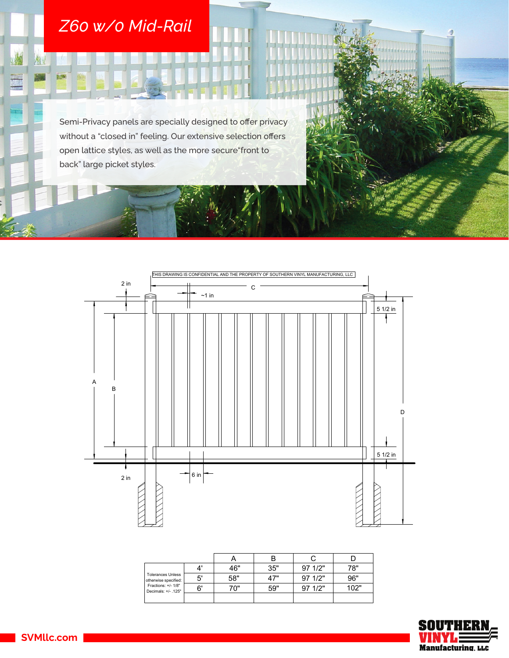## *Z60 w/0 Mid-Rail*

为!

H

防災

Semi-Privacy panels are specially designed to offer privacy without a "closed in" feeling. Our extensive selection offers open lattice styles, as well as the more secure"front to back" large picket styles.



| <b>Tolerances Unless</b><br>otherwise specified:<br>Fractions: +/- 1/8"<br>Decimals: +/- .125" |    | 46" | 35" | 971/2"  | 78"  |
|------------------------------------------------------------------------------------------------|----|-----|-----|---------|------|
|                                                                                                | 5' | 58" | 47" | 97 1/2" | 96"  |
|                                                                                                | 6' | 70" | 59" | 97 1/2" | 102" |
|                                                                                                |    |     |     |         |      |



mminin

SVMllc.com